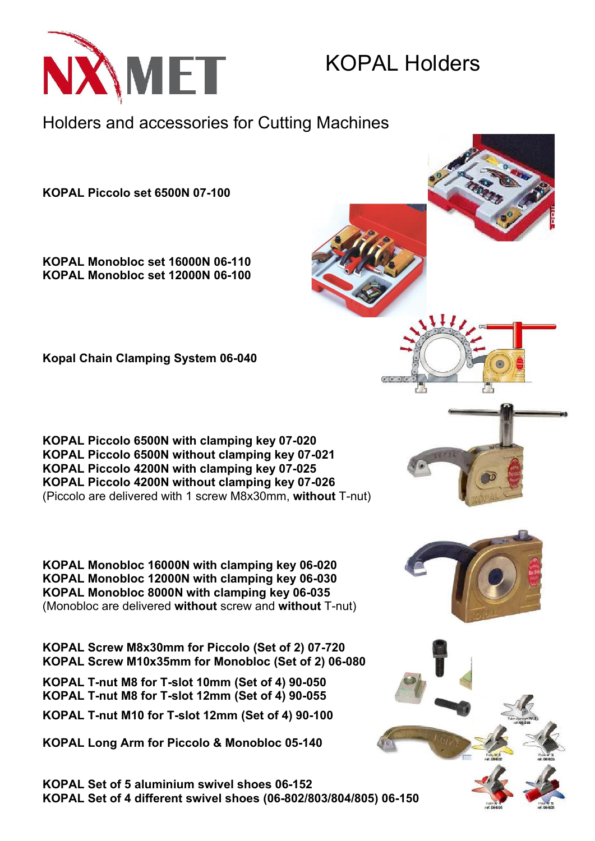

## KOPAL Holders

Holders and accessories for Cutting Machines

KOPAL Piccolo set 6500N 07-100

KOPAL Monobloc set 16000N 06-110 KOPAL Monobloc set 12000N 06-100

Kopal Chain Clamping System 06-040

KOPAL Piccolo 6500N with clamping key 07-020 KOPAL Piccolo 6500N without clamping key 07-021 KOPAL Piccolo 4200N with clamping key 07-025 KOPAL Piccolo 4200N without clamping key 07-026 (Piccolo are delivered with 1 screw M8x30mm, without T-nut)

KOPAL Monobloc 16000N with clamping key 06-020 KOPAL Monobloc 12000N with clamping key 06-030 KOPAL Monobloc 8000N with clamping key 06-035 (Monobloc are delivered without screw and without T-nut)

KOPAL Screw M8x30mm for Piccolo (Set of 2) 07-720 KOPAL Screw M10x35mm for Monobloc (Set of 2) 06-080

KOPAL T-nut M8 for T-slot 10mm (Set of 4) 90-050 KOPAL T-nut M8 for T-slot 12mm (Set of 4) 90-055

KOPAL T-nut M10 for T-slot 12mm (Set of 4) 90-100

KOPAL Long Arm for Piccolo & Monobloc 05-140

KOPAL Set of 5 aluminium swivel shoes 06-152 KOPAL Set of 4 different swivel shoes (06-802/803/804/805) 06-150